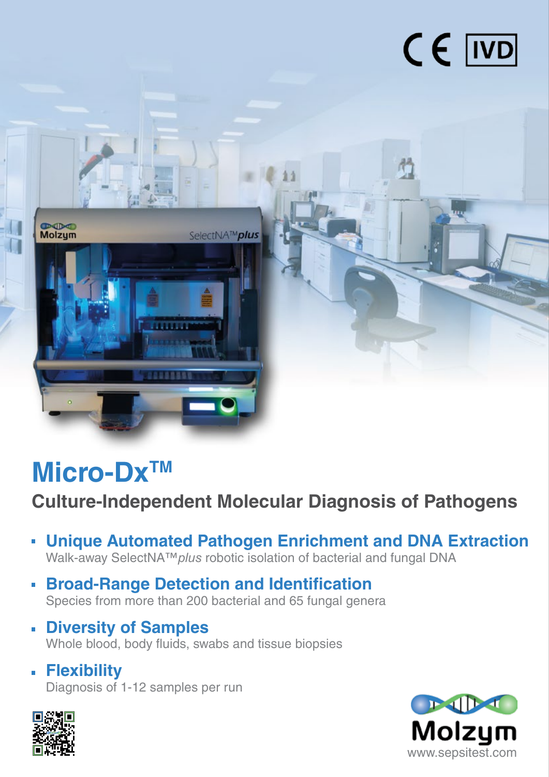



## **Micro-DxTM**

**Culture-Independent Molecular Diagnosis of Pathogens**

- **Unique Automated Pathogen Enrichment and DNA Extraction** Walk-away SelectNA™*plus* robotic isolation of bacterial and fungal DNA
- **Broad-Range Detection and Identification** Species from more than 200 bacterial and 65 fungal genera
- **Diversity of Samples** Whole blood, body fluids, swabs and tissue biopsies
- **Flexibility** Diagnosis of 1-12 samples per run